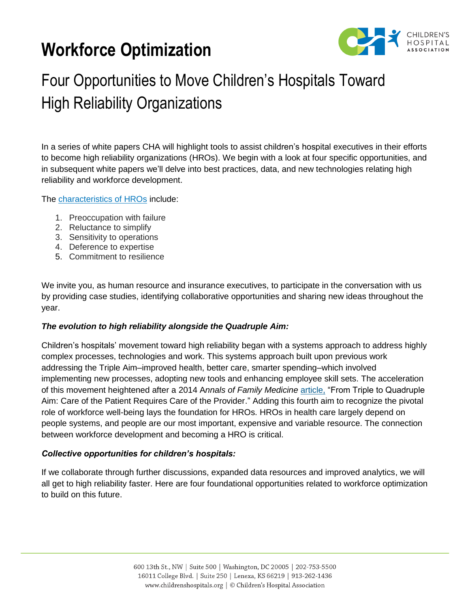# **Workforce Optimization**



# Four Opportunities to Move Children's Hospitals Toward High Reliability Organizations

In a series of white papers CHA will highlight tools to assist children's hospital executives in their efforts to become high reliability organizations (HROs). We begin with a look at four specific opportunities, and in subsequent white papers we'll delve into best practices, data, and new technologies relating high reliability and workforce development.

The [characteristics of HROs](https://psnet.ahrq.gov/primers/primer/31/high-reliability) include:

- 1. Preoccupation with failure
- 2. Reluctance to simplify
- 3. Sensitivity to operations
- 4. Deference to expertise
- 5. Commitment to resilience

We invite you, as human resource and insurance executives, to participate in the conversation with us by providing case studies, identifying collaborative opportunities and sharing new ideas throughout the year.

#### *The evolution to high reliability alongside the Quadruple Aim:*

Children's hospitals' movement toward high reliability began with a systems approach to address highly complex processes, technologies and work. This systems approach built upon previous work addressing the Triple Aim–improved health, better care, smarter spending–which involved implementing new processes, adopting new tools and enhancing employee skill sets. The acceleration of this movement heightened after a 2014 A*nnals of Family Medicine* [article,](http://annfammed.org/content/12/6/573.full.pdf+html) "From Triple to Quadruple Aim: Care of the Patient Requires Care of the Provider." Adding this fourth aim to recognize the pivotal role of workforce well-being lays the foundation for HROs. HROs in health care largely depend on people systems, and people are our most important, expensive and variable resource. The connection between workforce development and becoming a HRO is critical.

#### *Collective opportunities for children's hospitals:*

If we collaborate through further discussions, expanded data resources and improved analytics, we will all get to high reliability faster. Here are four foundational opportunities related to workforce optimization to build on this future.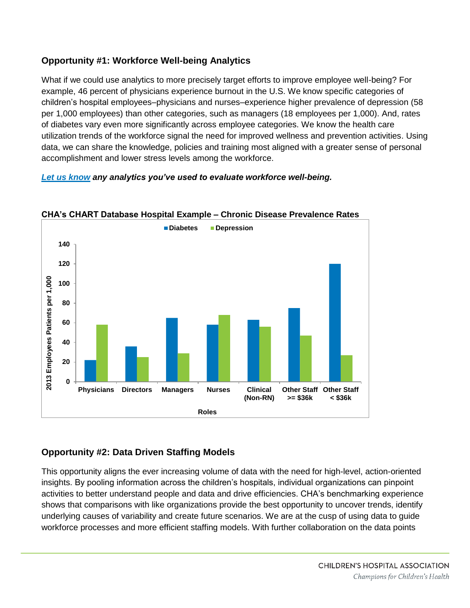## **Opportunity #1: Workforce Well-being Analytics**

What if we could use analytics to more precisely target efforts to improve employee well-being? For example, 46 percent of physicians experience burnout in the U.S. We know specific categories of children's hospital employees–physicians and nurses–experience higher prevalence of depression (58 per 1,000 employees) than other categories, such as managers (18 employees per 1,000). And, rates of diabetes vary even more significantly across employee categories. We know the health care utilization trends of the workforce signal the need for improved wellness and prevention activities. Using data, we can share the knowledge, policies and training most aligned with a greater sense of personal accomplishment and lower stress levels among the workforce.

### *[Let us know](mailto:insuranceservices@childrenshospitals.org) any analytics you've used to evaluate workforce well-being.*



#### **CHA's CHART Database Hospital Example – Chronic Disease Prevalence Rates**

## **Opportunity #2: Data Driven Staffing Models**

This opportunity aligns the ever increasing volume of data with the need for high-level, action-oriented insights. By pooling information across the children's hospitals, individual organizations can pinpoint activities to better understand people and data and drive efficiencies. CHA's benchmarking experience shows that comparisons with like organizations provide the best opportunity to uncover trends, identify underlying causes of variability and create future scenarios. We are at the cusp of using data to guide workforce processes and more efficient staffing models. With further collaboration on the data points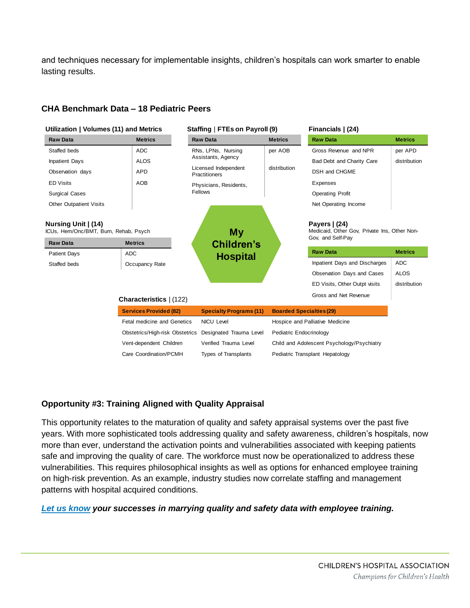and techniques necessary for implementable insights, children's hospitals can work smarter to enable lasting results.

#### **CHA Benchmark Data – 18 Pediatric Peers**



#### **Opportunity #3: Training Aligned with Quality Appraisal**

This opportunity relates to the maturation of quality and safety appraisal systems over the past five years. With more sophisticated tools addressing quality and safety awareness, children's hospitals, now more than ever, understand the activation points and vulnerabilities associated with keeping patients safe and improving the quality of care. The workforce must now be operationalized to address these vulnerabilities. This requires philosophical insights as well as options for enhanced employee training on high-risk prevention. As an example, industry studies now correlate staffing and management patterns with hospital acquired conditions.

#### *[Let us know](mailto:insuranceservices@childrenshospitals.org) your successes in marrying quality and safety data with employee training.*